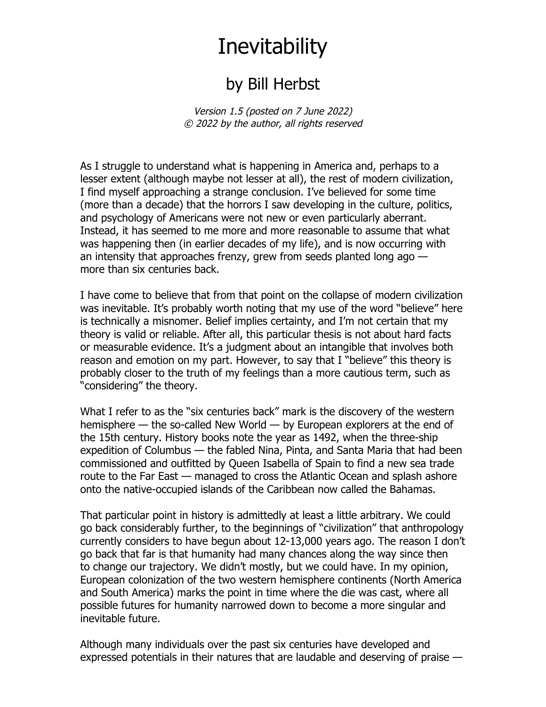## **Inevitability**

## by Bill Herbst

Version 1.5 (posted on 7 June 2022) © 2022 by the author, all rights reserved

As I struggle to understand what is happening in America and, perhaps to a lesser extent (although maybe not lesser at all), the rest of modern civilization, I find myself approaching a strange conclusion. I've believed for some time (more than a decade) that the horrors I saw developing in the culture, politics, and psychology of Americans were not new or even particularly aberrant. Instead, it has seemed to me more and more reasonable to assume that what was happening then (in earlier decades of my life), and is now occurring with an intensity that approaches frenzy, grew from seeds planted long ago more than six centuries back.

I have come to believe that from that point on the collapse of modern civilization was inevitable. It's probably worth noting that my use of the word "believe" here is technically a misnomer. Belief implies certainty, and I'm not certain that my theory is valid or reliable. After all, this particular thesis is not about hard facts or measurable evidence. It's a judgment about an intangible that involves both reason and emotion on my part. However, to say that I "believe" this theory is probably closer to the truth of my feelings than a more cautious term, such as "considering" the theory.

What I refer to as the "six centuries back" mark is the discovery of the western hemisphere — the so-called New World — by European explorers at the end of the 15th century. History books note the year as 1492, when the three-ship expedition of Columbus — the fabled Nina, Pinta, and Santa Maria that had been commissioned and outfitted by Queen Isabella of Spain to find a new sea trade route to the Far East — managed to cross the Atlantic Ocean and splash ashore onto the native-occupied islands of the Caribbean now called the Bahamas.

That particular point in history is admittedly at least a little arbitrary. We could go back considerably further, to the beginnings of "civilization" that anthropology currently considers to have begun about 12-13,000 years ago. The reason I don't go back that far is that humanity had many chances along the way since then to change our trajectory. We didn't mostly, but we could have. In my opinion, European colonization of the two western hemisphere continents (North America and South America) marks the point in time where the die was cast, where all possible futures for humanity narrowed down to become a more singular and inevitable future.

Although many individuals over the past six centuries have developed and expressed potentials in their natures that are laudable and deserving of praise —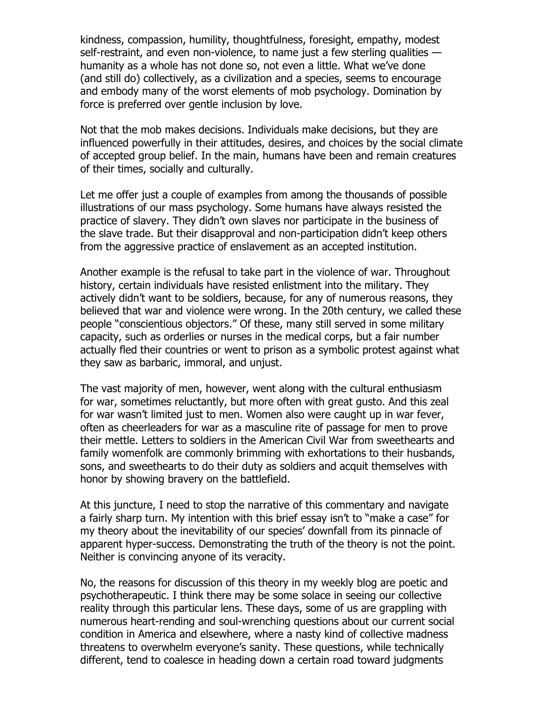kindness, compassion, humility, thoughtfulness, foresight, empathy, modest self-restraint, and even non-violence, to name just a few sterling qualities humanity as a whole has not done so, not even a little. What we've done (and still do) collectively, as a civilization and a species, seems to encourage and embody many of the worst elements of mob psychology. Domination by force is preferred over gentle inclusion by love.

Not that the mob makes decisions. Individuals make decisions, but they are influenced powerfully in their attitudes, desires, and choices by the social climate of accepted group belief. In the main, humans have been and remain creatures of their times, socially and culturally.

Let me offer just a couple of examples from among the thousands of possible illustrations of our mass psychology. Some humans have always resisted the practice of slavery. They didn't own slaves nor participate in the business of the slave trade. But their disapproval and non-participation didn't keep others from the aggressive practice of enslavement as an accepted institution.

Another example is the refusal to take part in the violence of war. Throughout history, certain individuals have resisted enlistment into the military. They actively didn't want to be soldiers, because, for any of numerous reasons, they believed that war and violence were wrong. In the 20th century, we called these people "conscientious objectors." Of these, many still served in some military capacity, such as orderlies or nurses in the medical corps, but a fair number actually fled their countries or went to prison as a symbolic protest against what they saw as barbaric, immoral, and unjust.

The vast majority of men, however, went along with the cultural enthusiasm for war, sometimes reluctantly, but more often with great gusto. And this zeal for war wasn't limited just to men. Women also were caught up in war fever, often as cheerleaders for war as a masculine rite of passage for men to prove their mettle. Letters to soldiers in the American Civil War from sweethearts and family womenfolk are commonly brimming with exhortations to their husbands, sons, and sweethearts to do their duty as soldiers and acquit themselves with honor by showing bravery on the battlefield.

At this juncture, I need to stop the narrative of this commentary and navigate a fairly sharp turn. My intention with this brief essay isn't to "make a case" for my theory about the inevitability of our species' downfall from its pinnacle of apparent hyper-success. Demonstrating the truth of the theory is not the point. Neither is convincing anyone of its veracity.

No, the reasons for discussion of this theory in my weekly blog are poetic and psychotherapeutic. I think there may be some solace in seeing our collective reality through this particular lens. These days, some of us are grappling with numerous heart-rending and soul-wrenching questions about our current social condition in America and elsewhere, where a nasty kind of collective madness threatens to overwhelm everyone's sanity. These questions, while technically different, tend to coalesce in heading down a certain road toward judgments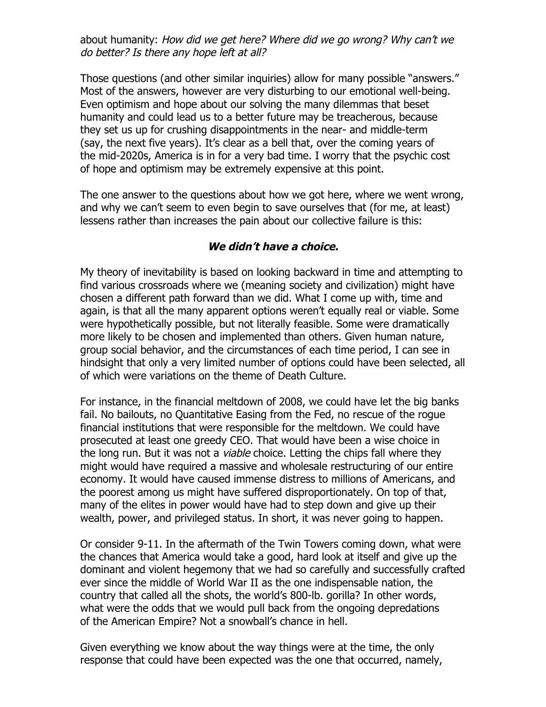about humanity: How did we get here? Where did we go wrong? Why can't we do better? Is there any hope left at all?

Those questions (and other similar inquiries) allow for many possible "answers." Most of the answers, however are very disturbing to our emotional well-being. Even optimism and hope about our solving the many dilemmas that beset humanity and could lead us to a better future may be treacherous, because they set us up for crushing disappointments in the near- and middle-term (say, the next five years). It's clear as a bell that, over the coming years of the mid-2020s, America is in for a very bad time. I worry that the psychic cost of hope and optimism may be extremely expensive at this point.

The one answer to the questions about how we got here, where we went wrong, and why we can't seem to even begin to save ourselves that (for me, at least) lessens rather than increases the pain about our collective failure is this:

## **We didn't have a choice.**

My theory of inevitability is based on looking backward in time and attempting to find various crossroads where we (meaning society and civilization) might have chosen a different path forward than we did. What I come up with, time and again, is that all the many apparent options weren't equally real or viable. Some were hypothetically possible, but not literally feasible. Some were dramatically more likely to be chosen and implemented than others. Given human nature, group social behavior, and the circumstances of each time period, I can see in hindsight that only a very limited number of options could have been selected, all of which were variations on the theme of Death Culture.

For instance, in the financial meltdown of 2008, we could have let the big banks fail. No bailouts, no Quantitative Easing from the Fed, no rescue of the rogue financial institutions that were responsible for the meltdown. We could have prosecuted at least one greedy CEO. That would have been a wise choice in the long run. But it was not a *viable* choice. Letting the chips fall where they might would have required a massive and wholesale restructuring of our entire economy. It would have caused immense distress to millions of Americans, and the poorest among us might have suffered disproportionately. On top of that, many of the elites in power would have had to step down and give up their wealth, power, and privileged status. In short, it was never going to happen.

Or consider 9-11. In the aftermath of the Twin Towers coming down, what were the chances that America would take a good, hard look at itself and give up the dominant and violent hegemony that we had so carefully and successfully crafted ever since the middle of World War II as the one indispensable nation, the country that called all the shots, the world's 800-lb. gorilla? In other words, what were the odds that we would pull back from the ongoing depredations of the American Empire? Not a snowball's chance in hell.

Given everything we know about the way things were at the time, the only response that could have been expected was the one that occurred, namely,